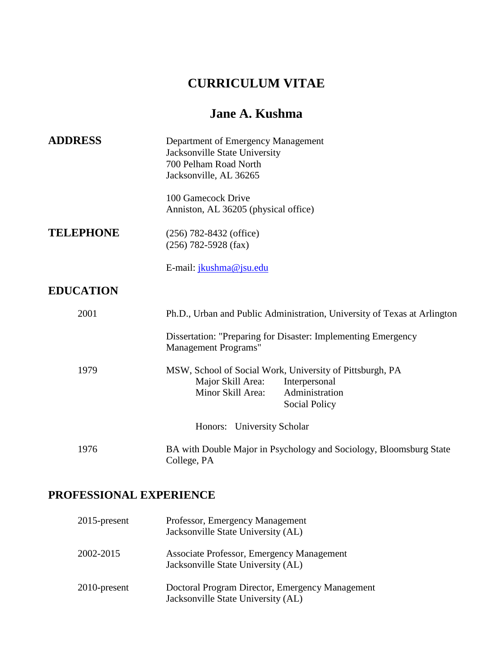# **CURRICULUM VITAE**

# **Jane A. Kushma**

| <b>ADDRESS</b>   | Department of Emergency Management<br>Jacksonville State University<br>700 Pelham Road North<br>Jacksonville, AL 36265                                 |
|------------------|--------------------------------------------------------------------------------------------------------------------------------------------------------|
|                  | 100 Gamecock Drive<br>Anniston, AL 36205 (physical office)                                                                                             |
| <b>TELEPHONE</b> | $(256)$ 782-8432 (office)<br>$(256)$ 782-5928 (fax)                                                                                                    |
|                  | E-mail: <i>jkushma@jsu.edu</i>                                                                                                                         |
| <b>EDUCATION</b> |                                                                                                                                                        |
| 2001             | Ph.D., Urban and Public Administration, University of Texas at Arlington                                                                               |
|                  | Dissertation: "Preparing for Disaster: Implementing Emergency<br>Management Programs"                                                                  |
| 1979             | MSW, School of Social Work, University of Pittsburgh, PA<br>Major Skill Area:<br>Interpersonal<br>Minor Skill Area:<br>Administration<br>Social Policy |
|                  | Honors: University Scholar                                                                                                                             |
| 1976             | BA with Double Major in Psychology and Sociology, Bloomsburg State<br>College, PA                                                                      |

# **PROFESSIONAL EXPERIENCE**

| $2015$ -present | Professor, Emergency Management<br>Jacksonville State University (AL)                 |
|-----------------|---------------------------------------------------------------------------------------|
| 2002-2015       | Associate Professor, Emergency Management<br>Jacksonville State University (AL)       |
| $2010$ -present | Doctoral Program Director, Emergency Management<br>Jacksonville State University (AL) |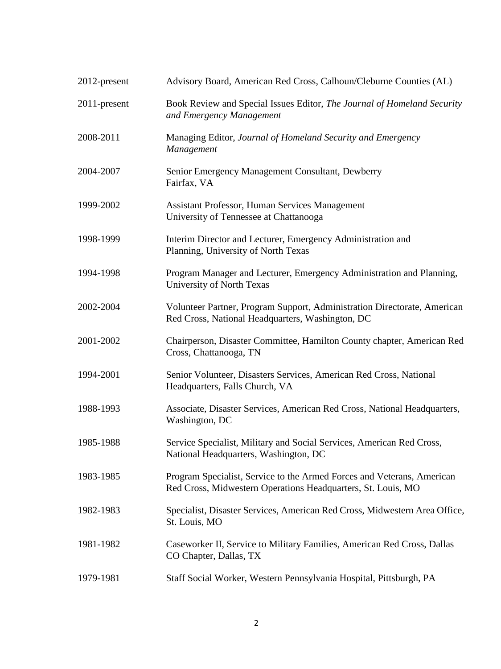| 2012-present | Advisory Board, American Red Cross, Calhoun/Cleburne Counties (AL)                                                                     |
|--------------|----------------------------------------------------------------------------------------------------------------------------------------|
| 2011-present | Book Review and Special Issues Editor, The Journal of Homeland Security<br>and Emergency Management                                    |
| 2008-2011    | Managing Editor, Journal of Homeland Security and Emergency<br>Management                                                              |
| 2004-2007    | Senior Emergency Management Consultant, Dewberry<br>Fairfax, VA                                                                        |
| 1999-2002    | Assistant Professor, Human Services Management<br>University of Tennessee at Chattanooga                                               |
| 1998-1999    | Interim Director and Lecturer, Emergency Administration and<br>Planning, University of North Texas                                     |
| 1994-1998    | Program Manager and Lecturer, Emergency Administration and Planning,<br>University of North Texas                                      |
| 2002-2004    | Volunteer Partner, Program Support, Administration Directorate, American<br>Red Cross, National Headquarters, Washington, DC           |
| 2001-2002    | Chairperson, Disaster Committee, Hamilton County chapter, American Red<br>Cross, Chattanooga, TN                                       |
| 1994-2001    | Senior Volunteer, Disasters Services, American Red Cross, National<br>Headquarters, Falls Church, VA                                   |
| 1988-1993    | Associate, Disaster Services, American Red Cross, National Headquarters,<br>Washington, DC                                             |
| 1985-1988    | Service Specialist, Military and Social Services, American Red Cross,<br>National Headquarters, Washington, DC                         |
| 1983-1985    | Program Specialist, Service to the Armed Forces and Veterans, American<br>Red Cross, Midwestern Operations Headquarters, St. Louis, MO |
| 1982-1983    | Specialist, Disaster Services, American Red Cross, Midwestern Area Office,<br>St. Louis, MO                                            |
| 1981-1982    | Caseworker II, Service to Military Families, American Red Cross, Dallas<br>CO Chapter, Dallas, TX                                      |
| 1979-1981    | Staff Social Worker, Western Pennsylvania Hospital, Pittsburgh, PA                                                                     |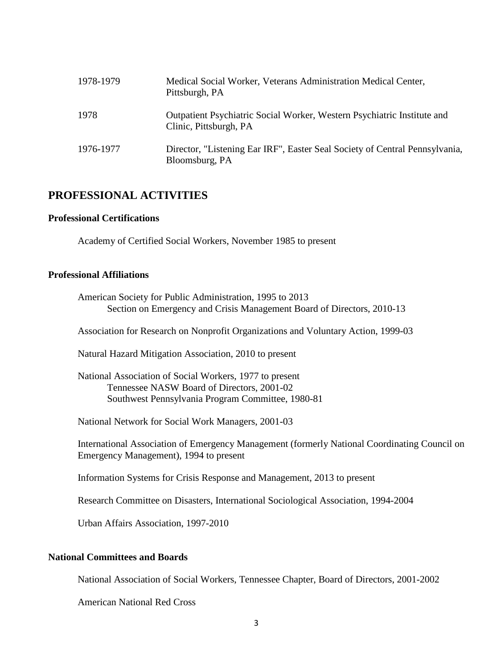| 1978-1979 | Medical Social Worker, Veterans Administration Medical Center,<br>Pittsburgh, PA                  |
|-----------|---------------------------------------------------------------------------------------------------|
| 1978      | Outpatient Psychiatric Social Worker, Western Psychiatric Institute and<br>Clinic, Pittsburgh, PA |
| 1976-1977 | Director, "Listening Ear IRF", Easter Seal Society of Central Pennsylvania,<br>Bloomsburg, PA     |

## **PROFESSIONAL ACTIVITIES**

#### **Professional Certifications**

Academy of Certified Social Workers, November 1985 to present

#### **Professional Affiliations**

 American Society for Public Administration, 1995 to 2013 Section on Emergency and Crisis Management Board of Directors, 2010-13

Association for Research on Nonprofit Organizations and Voluntary Action, 1999-03

Natural Hazard Mitigation Association, 2010 to present

 National Association of Social Workers, 1977 to present Tennessee NASW Board of Directors, 2001-02 Southwest Pennsylvania Program Committee, 1980-81

National Network for Social Work Managers, 2001-03

International Association of Emergency Management (formerly National Coordinating Council on Emergency Management), 1994 to present

Information Systems for Crisis Response and Management, 2013 to present

Research Committee on Disasters, International Sociological Association, 1994-2004

Urban Affairs Association, 1997-2010

#### **National Committees and Boards**

National Association of Social Workers, Tennessee Chapter, Board of Directors, 2001-2002

American National Red Cross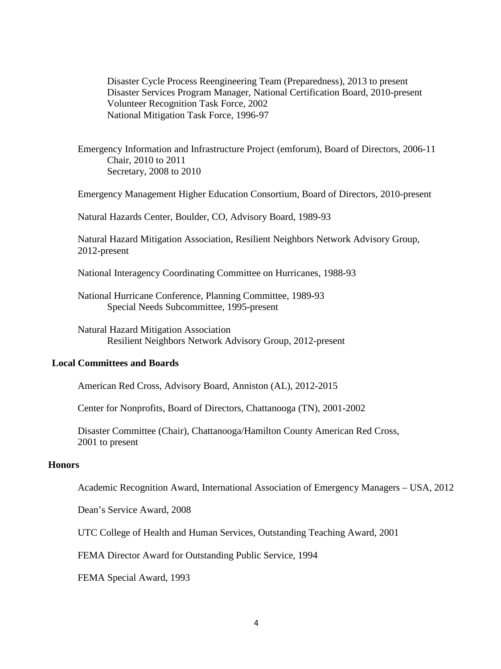Disaster Cycle Process Reengineering Team (Preparedness), 2013 to present Disaster Services Program Manager, National Certification Board, 2010-present Volunteer Recognition Task Force, 2002 National Mitigation Task Force, 1996-97

Emergency Information and Infrastructure Project (emforum), Board of Directors, 2006-11 Chair, 2010 to 2011 Secretary, 2008 to 2010

Emergency Management Higher Education Consortium, Board of Directors, 2010-present

Natural Hazards Center, Boulder, CO, Advisory Board, 1989-93

Natural Hazard Mitigation Association, Resilient Neighbors Network Advisory Group, 2012-present

National Interagency Coordinating Committee on Hurricanes, 1988-93

National Hurricane Conference, Planning Committee, 1989-93 Special Needs Subcommittee, 1995-present

Natural Hazard Mitigation Association Resilient Neighbors Network Advisory Group, 2012-present

#### **Local Committees and Boards**

American Red Cross, Advisory Board, Anniston (AL), 2012-2015

Center for Nonprofits, Board of Directors, Chattanooga (TN), 2001-2002

 Disaster Committee (Chair), Chattanooga/Hamilton County American Red Cross, 2001 to present

#### **Honors**

Academic Recognition Award, International Association of Emergency Managers – USA, 2012

Dean's Service Award, 2008

UTC College of Health and Human Services, Outstanding Teaching Award, 2001

FEMA Director Award for Outstanding Public Service, 1994

FEMA Special Award, 1993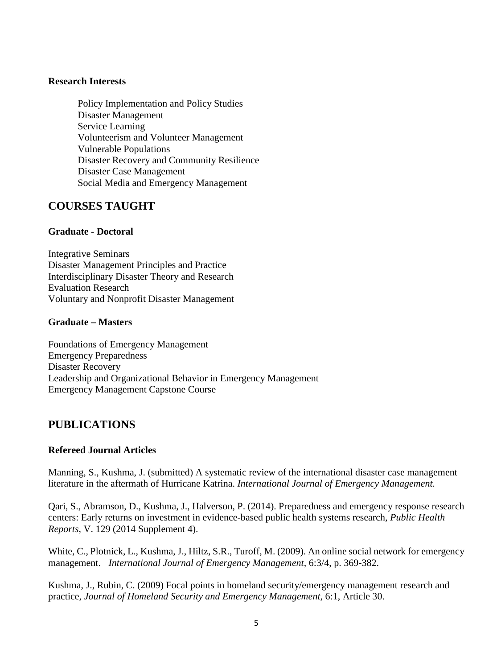#### **Research Interests**

Policy Implementation and Policy Studies Disaster Management Service Learning Volunteerism and Volunteer Management Vulnerable Populations Disaster Recovery and Community Resilience Disaster Case Management Social Media and Emergency Management

## **COURSES TAUGHT**

### **Graduate - Doctoral**

Integrative Seminars Disaster Management Principles and Practice Interdisciplinary Disaster Theory and Research Evaluation Research Voluntary and Nonprofit Disaster Management

### **Graduate – Masters**

Foundations of Emergency Management Emergency Preparedness Disaster Recovery Leadership and Organizational Behavior in Emergency Management Emergency Management Capstone Course

# **PUBLICATIONS**

### **Refereed Journal Articles**

Manning, S., Kushma, J. (submitted) A systematic review of the international disaster case management literature in the aftermath of Hurricane Katrina. *International Journal of Emergency Management.*

Qari, S., Abramson, D., Kushma, J., Halverson, P. (2014). Preparedness and emergency response research centers: Early returns on investment in evidence-based public health systems research, *Public Health Reports,* V. 129 (2014 Supplement 4).

White, C., Plotnick, L., Kushma, J., Hiltz, S.R., Turoff, M. (2009). An online social network for emergency management. *International Journal of Emergency Management,* 6:3/4, p. 369-382.

Kushma, J., Rubin, C. (2009) Focal points in homeland security/emergency management research and practice, *Journal of Homeland Security and Emergency Management*, 6:1, Article 30.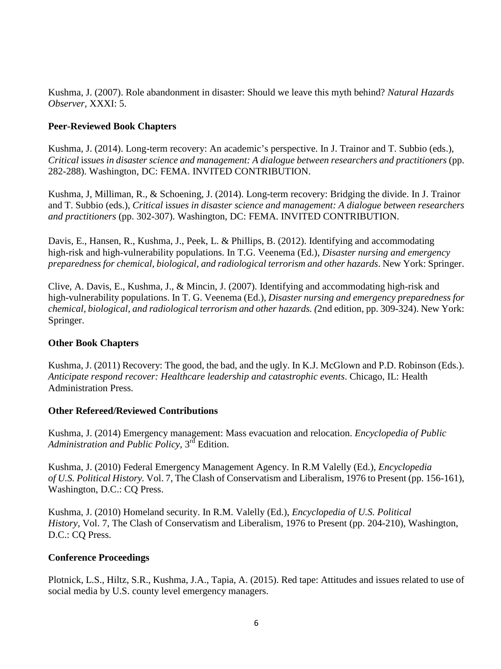Kushma, J. (2007). Role abandonment in disaster: Should we leave this myth behind? *Natural Hazards Observer,* XXXI: 5.

## **Peer-Reviewed Book Chapters**

Kushma, J. (2014). Long-term recovery: An academic's perspective. In J. Trainor and T. Subbio (eds.), *Critical* i*ssues in disaster science and management: A dialogue between researchers and practitioners* (pp. 282-288). Washington, DC: FEMA. INVITED CONTRIBUTION.

Kushma, J, Milliman, R., & Schoening, J. (2014). Long-term recovery: Bridging the divide. In J. Trainor and T. Subbio (eds.), *Critical* i*ssues in disaster science and management: A dialogue between researchers and practitioners* (pp. 302-307). Washington, DC: FEMA. INVITED CONTRIBUTION.

Davis, E., Hansen, R., Kushma, J., Peek, L. & Phillips, B. (2012). Identifying and accommodating high-risk and high-vulnerability populations. In T.G. Veenema (Ed.), *Disaster nursing and emergency preparedness for chemical, biological, and radiological terrorism and other hazards*. New York: Springer.

Clive, A. Davis, E., Kushma, J., & Mincin, J. (2007). Identifying and accommodating high-risk and high-vulnerability populations. In T. G. Veenema (Ed.), *Disaster nursing and emergency preparedness for chemical, biological, and radiological terrorism and other hazards. (*2nd edition, pp. 309-324). New York: Springer.

### **Other Book Chapters**

Kushma, J. (2011) Recovery: The good, the bad, and the ugly. In K.J. McGlown and P.D. Robinson (Eds.). *Anticipate respond recover: Healthcare leadership and catastrophic events*. Chicago, IL: Health Administration Press.

### **Other Refereed/Reviewed Contributions**

Kushma, J. (2014) Emergency management: Mass evacuation and relocation. *Encyclopedia of Public Administration and Public Policy,* 3rd Edition.

Kushma, J. (2010) Federal Emergency Management Agency. In R.M Valelly (Ed.), *Encyclopedia of U.S. Political History.* Vol. 7, The Clash of Conservatism and Liberalism, 1976 to Present (pp. 156-161), Washington, D.C.: CQ Press.

Kushma, J. (2010) Homeland security. In R.M. Valelly (Ed.), *Encyclopedia of U.S. Political History,* Vol. 7, The Clash of Conservatism and Liberalism, 1976 to Present (pp. 204-210), Washington, D.C.: CQ Press.

### **Conference Proceedings**

Plotnick, L.S., Hiltz, S.R., Kushma, J.A., Tapia, A. (2015). Red tape: Attitudes and issues related to use of social media by U.S. county level emergency managers.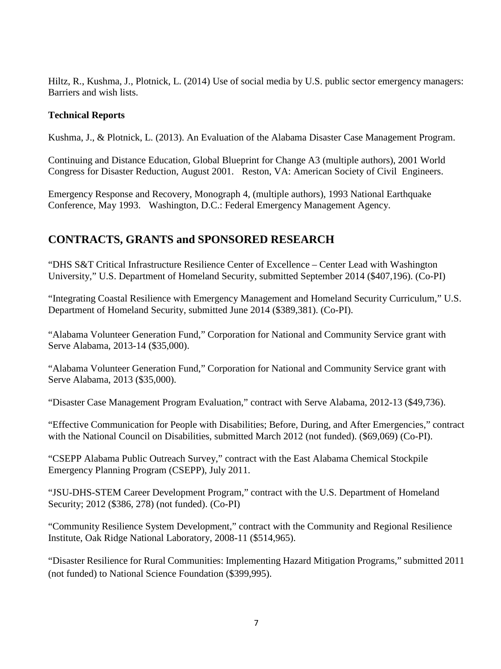Hiltz, R., Kushma, J., Plotnick, L. (2014) Use of social media by U.S. public sector emergency managers: Barriers and wish lists.

## **Technical Reports**

Kushma, J., & Plotnick, L. (2013). An Evaluation of the Alabama Disaster Case Management Program.

Continuing and Distance Education, Global Blueprint for Change A3 (multiple authors), 2001 World Congress for Disaster Reduction, August 2001. Reston, VA: American Society of Civil Engineers.

Emergency Response and Recovery, Monograph 4, (multiple authors), 1993 National Earthquake Conference, May 1993. Washington, D.C.: Federal Emergency Management Agency.

# **CONTRACTS, GRANTS and SPONSORED RESEARCH**

"DHS S&T Critical Infrastructure Resilience Center of Excellence – Center Lead with Washington University," U.S. Department of Homeland Security, submitted September 2014 (\$407,196). (Co-PI)

"Integrating Coastal Resilience with Emergency Management and Homeland Security Curriculum," U.S. Department of Homeland Security, submitted June 2014 (\$389,381). (Co-PI).

"Alabama Volunteer Generation Fund," Corporation for National and Community Service grant with Serve Alabama, 2013-14 (\$35,000).

"Alabama Volunteer Generation Fund," Corporation for National and Community Service grant with Serve Alabama, 2013 (\$35,000).

"Disaster Case Management Program Evaluation," contract with Serve Alabama, 2012-13 (\$49,736).

"Effective Communication for People with Disabilities; Before, During, and After Emergencies," contract with the National Council on Disabilities, submitted March 2012 (not funded). (\$69,069) (Co-PI).

"CSEPP Alabama Public Outreach Survey," contract with the East Alabama Chemical Stockpile Emergency Planning Program (CSEPP), July 2011.

"JSU-DHS-STEM Career Development Program," contract with the U.S. Department of Homeland Security; 2012 (\$386, 278) (not funded). (Co-PI)

"Community Resilience System Development," contract with the Community and Regional Resilience Institute, Oak Ridge National Laboratory, 2008-11 (\$514,965).

"Disaster Resilience for Rural Communities: Implementing Hazard Mitigation Programs," submitted 2011 (not funded) to National Science Foundation (\$399,995).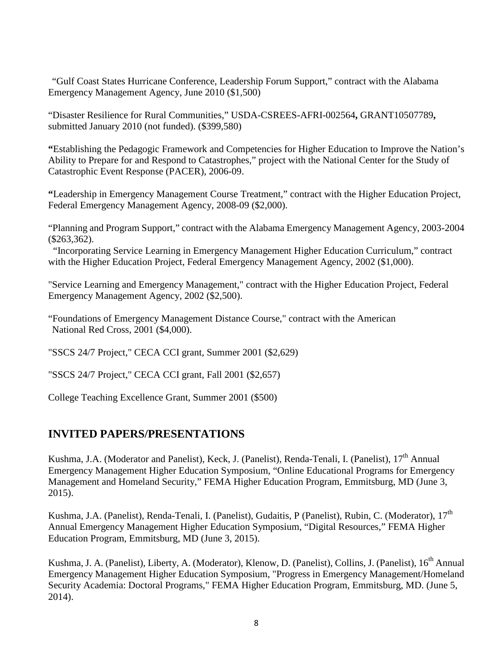"Gulf Coast States Hurricane Conference, Leadership Forum Support," contract with the Alabama Emergency Management Agency, June 2010 (\$1,500)

"Disaster Resilience for Rural Communities," USDA-CSREES-AFRI-002564**,** GRANT10507789**,**  submitted January 2010 (not funded). (\$399,580)

**"**Establishing the Pedagogic Framework and Competencies for Higher Education to Improve the Nation's Ability to Prepare for and Respond to Catastrophes," project with the National Center for the Study of Catastrophic Event Response (PACER), 2006-09.

**"**Leadership in Emergency Management Course Treatment," contract with the Higher Education Project, Federal Emergency Management Agency, 2008-09 (\$2,000).

"Planning and Program Support," contract with the Alabama Emergency Management Agency, 2003-2004 (\$263,362).

"Incorporating Service Learning in Emergency Management Higher Education Curriculum," contract with the Higher Education Project, Federal Emergency Management Agency, 2002 (\$1,000).

"Service Learning and Emergency Management," contract with the Higher Education Project, Federal Emergency Management Agency, 2002 (\$2,500).

"Foundations of Emergency Management Distance Course," contract with the American National Red Cross, 2001 (\$4,000).

"SSCS 24/7 Project," CECA CCI grant, Summer 2001 (\$2,629)

"SSCS 24/7 Project," CECA CCI grant, Fall 2001 (\$2,657)

College Teaching Excellence Grant, Summer 2001 (\$500)

# **INVITED PAPERS/PRESENTATIONS**

Kushma, J.A. (Moderator and Panelist), Keck, J. (Panelist), Renda-Tenali, I. (Panelist), 17<sup>th</sup> Annual Emergency Management Higher Education Symposium, "Online Educational Programs for Emergency Management and Homeland Security," FEMA Higher Education Program, Emmitsburg, MD (June 3, 2015).

Kushma, J.A. (Panelist), Renda-Tenali, I. (Panelist), Gudaitis, P (Panelist), Rubin, C. (Moderator), 17<sup>th</sup> Annual Emergency Management Higher Education Symposium, "Digital Resources," FEMA Higher Education Program, Emmitsburg, MD (June 3, 2015).

Kushma, J. A. (Panelist), Liberty, A. (Moderator), Klenow, D. (Panelist), Collins, J. (Panelist), 16<sup>th</sup> Annual Emergency Management Higher Education Symposium, "Progress in Emergency Management/Homeland Security Academia: Doctoral Programs," FEMA Higher Education Program, Emmitsburg, MD. (June 5, 2014).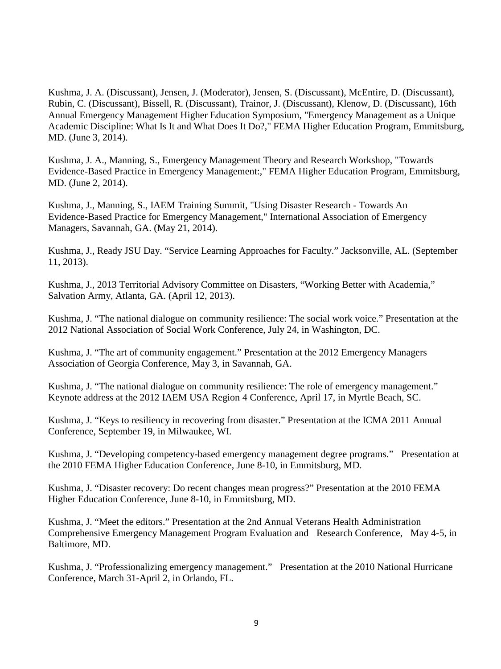Kushma, J. A. (Discussant), Jensen, J. (Moderator), Jensen, S. (Discussant), McEntire, D. (Discussant), Rubin, C. (Discussant), Bissell, R. (Discussant), Trainor, J. (Discussant), Klenow, D. (Discussant), 16th Annual Emergency Management Higher Education Symposium, "Emergency Management as a Unique Academic Discipline: What Is It and What Does It Do?," FEMA Higher Education Program, Emmitsburg, MD. (June 3, 2014).

Kushma, J. A., Manning, S., Emergency Management Theory and Research Workshop, "Towards Evidence-Based Practice in Emergency Management:," FEMA Higher Education Program, Emmitsburg, MD. (June 2, 2014).

Kushma, J., Manning, S., IAEM Training Summit, "Using Disaster Research - Towards An Evidence-Based Practice for Emergency Management," International Association of Emergency Managers, Savannah, GA. (May 21, 2014).

Kushma, J., Ready JSU Day. "Service Learning Approaches for Faculty." Jacksonville, AL. (September 11, 2013).

Kushma, J., 2013 Territorial Advisory Committee on Disasters, "Working Better with Academia," Salvation Army, Atlanta, GA. (April 12, 2013).

Kushma, J. "The national dialogue on community resilience: The social work voice." Presentation at the 2012 National Association of Social Work Conference, July 24, in Washington, DC.

Kushma, J. "The art of community engagement." Presentation at the 2012 Emergency Managers Association of Georgia Conference, May 3, in Savannah, GA.

Kushma, J. "The national dialogue on community resilience: The role of emergency management." Keynote address at the 2012 IAEM USA Region 4 Conference, April 17, in Myrtle Beach, SC.

Kushma, J. "Keys to resiliency in recovering from disaster." Presentation at the ICMA 2011 Annual Conference, September 19, in Milwaukee, WI.

Kushma, J. "Developing competency-based emergency management degree programs." Presentation at the 2010 FEMA Higher Education Conference, June 8-10, in Emmitsburg, MD.

Kushma, J. "Disaster recovery: Do recent changes mean progress?" Presentation at the 2010 FEMA Higher Education Conference, June 8-10, in Emmitsburg, MD.

Kushma, J. "Meet the editors." Presentation at the 2nd Annual Veterans Health Administration Comprehensive Emergency Management Program Evaluation and Research Conference, May 4-5, in Baltimore, MD.

Kushma, J. "Professionalizing emergency management." Presentation at the 2010 National Hurricane Conference, March 31-April 2, in Orlando, FL.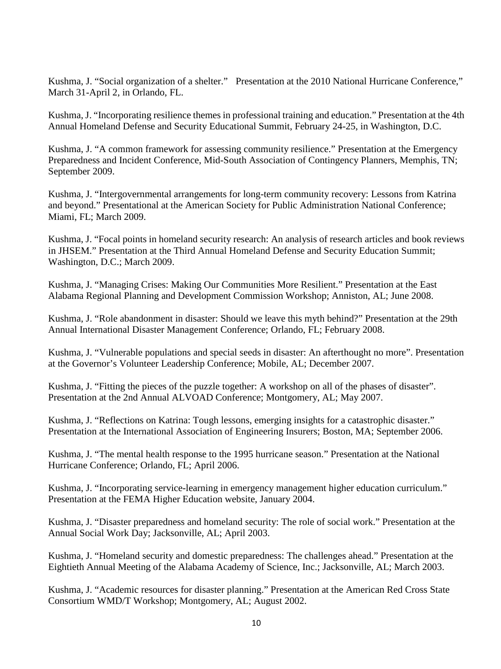Kushma, J. "Social organization of a shelter." Presentation at the 2010 National Hurricane Conference," March 31-April 2, in Orlando, FL.

Kushma, J. "Incorporating resilience themes in professional training and education." Presentation at the 4th Annual Homeland Defense and Security Educational Summit, February 24-25, in Washington, D.C.

Kushma, J. "A common framework for assessing community resilience." Presentation at the Emergency Preparedness and Incident Conference, Mid-South Association of Contingency Planners, Memphis, TN; September 2009.

Kushma, J. "Intergovernmental arrangements for long-term community recovery: Lessons from Katrina and beyond." Presentational at the American Society for Public Administration National Conference; Miami, FL; March 2009.

Kushma, J. "Focal points in homeland security research: An analysis of research articles and book reviews in JHSEM." Presentation at the Third Annual Homeland Defense and Security Education Summit; Washington, D.C.; March 2009.

Kushma, J. "Managing Crises: Making Our Communities More Resilient." Presentation at the East Alabama Regional Planning and Development Commission Workshop; Anniston, AL; June 2008.

Kushma, J. "Role abandonment in disaster: Should we leave this myth behind?" Presentation at the 29th Annual International Disaster Management Conference; Orlando, FL; February 2008.

Kushma, J. "Vulnerable populations and special seeds in disaster: An afterthought no more". Presentation at the Governor's Volunteer Leadership Conference; Mobile, AL; December 2007.

Kushma, J. "Fitting the pieces of the puzzle together: A workshop on all of the phases of disaster". Presentation at the 2nd Annual ALVOAD Conference; Montgomery, AL; May 2007.

Kushma, J. "Reflections on Katrina: Tough lessons, emerging insights for a catastrophic disaster." Presentation at the International Association of Engineering Insurers; Boston, MA; September 2006.

Kushma, J. "The mental health response to the 1995 hurricane season." Presentation at the National Hurricane Conference; Orlando, FL; April 2006.

Kushma, J. "Incorporating service-learning in emergency management higher education curriculum." Presentation at the FEMA Higher Education website, January 2004.

Kushma, J. "Disaster preparedness and homeland security: The role of social work." Presentation at the Annual Social Work Day; Jacksonville, AL; April 2003.

Kushma, J. "Homeland security and domestic preparedness: The challenges ahead." Presentation at the Eightieth Annual Meeting of the Alabama Academy of Science, Inc.; Jacksonville, AL; March 2003.

Kushma, J. "Academic resources for disaster planning." Presentation at the American Red Cross State Consortium WMD/T Workshop; Montgomery, AL; August 2002.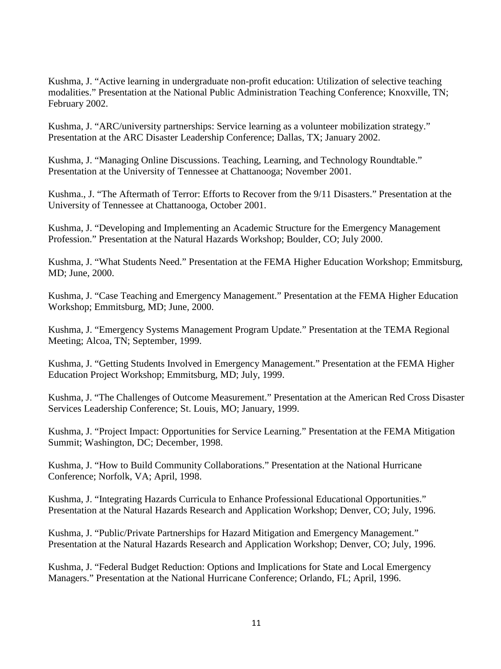Kushma, J. "Active learning in undergraduate non-profit education: Utilization of selective teaching modalities." Presentation at the National Public Administration Teaching Conference; Knoxville, TN; February 2002.

Kushma, J. "ARC/university partnerships: Service learning as a volunteer mobilization strategy." Presentation at the ARC Disaster Leadership Conference; Dallas, TX; January 2002.

Kushma, J. "Managing Online Discussions. Teaching, Learning, and Technology Roundtable." Presentation at the University of Tennessee at Chattanooga; November 2001.

Kushma., J. "The Aftermath of Terror: Efforts to Recover from the 9/11 Disasters." Presentation at the University of Tennessee at Chattanooga, October 2001.

Kushma, J. "Developing and Implementing an Academic Structure for the Emergency Management Profession." Presentation at the Natural Hazards Workshop; Boulder, CO; July 2000.

Kushma, J. "What Students Need." Presentation at the FEMA Higher Education Workshop; Emmitsburg, MD; June, 2000.

Kushma, J. "Case Teaching and Emergency Management." Presentation at the FEMA Higher Education Workshop; Emmitsburg, MD; June, 2000.

Kushma, J. "Emergency Systems Management Program Update." Presentation at the TEMA Regional Meeting; Alcoa, TN; September, 1999.

Kushma, J. "Getting Students Involved in Emergency Management." Presentation at the FEMA Higher Education Project Workshop; Emmitsburg, MD; July, 1999.

Kushma, J. "The Challenges of Outcome Measurement." Presentation at the American Red Cross Disaster Services Leadership Conference; St. Louis, MO; January, 1999.

Kushma, J. "Project Impact: Opportunities for Service Learning." Presentation at the FEMA Mitigation Summit; Washington, DC; December, 1998.

Kushma, J. "How to Build Community Collaborations." Presentation at the National Hurricane Conference; Norfolk, VA; April, 1998.

Kushma, J. "Integrating Hazards Curricula to Enhance Professional Educational Opportunities." Presentation at the Natural Hazards Research and Application Workshop; Denver, CO; July, 1996.

Kushma, J. "Public/Private Partnerships for Hazard Mitigation and Emergency Management." Presentation at the Natural Hazards Research and Application Workshop; Denver, CO; July, 1996.

Kushma, J. "Federal Budget Reduction: Options and Implications for State and Local Emergency Managers." Presentation at the National Hurricane Conference; Orlando, FL; April, 1996.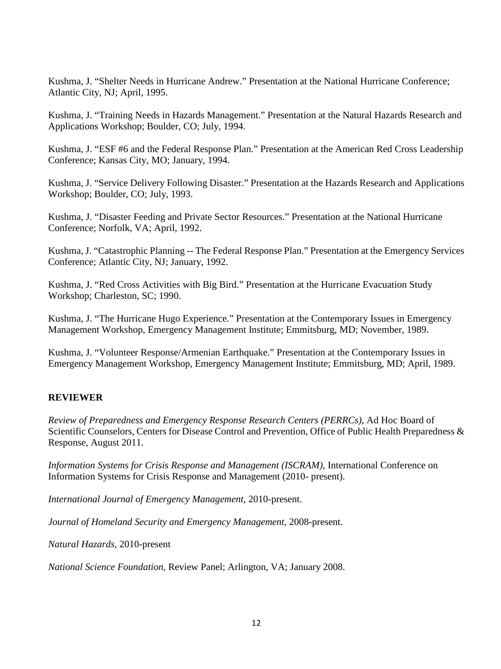Kushma, J. "Shelter Needs in Hurricane Andrew." Presentation at the National Hurricane Conference; Atlantic City, NJ; April, 1995.

Kushma, J. "Training Needs in Hazards Management." Presentation at the Natural Hazards Research and Applications Workshop; Boulder, CO; July, 1994.

Kushma, J. "ESF #6 and the Federal Response Plan." Presentation at the American Red Cross Leadership Conference; Kansas City, MO; January, 1994.

Kushma, J. "Service Delivery Following Disaster." Presentation at the Hazards Research and Applications Workshop; Boulder, CO; July, 1993.

Kushma, J. "Disaster Feeding and Private Sector Resources." Presentation at the National Hurricane Conference; Norfolk, VA; April, 1992.

Kushma, J. "Catastrophic Planning -- The Federal Response Plan." Presentation at the Emergency Services Conference; Atlantic City, NJ; January, 1992.

Kushma, J. "Red Cross Activities with Big Bird." Presentation at the Hurricane Evacuation Study Workshop; Charleston, SC; 1990.

Kushma, J. "The Hurricane Hugo Experience." Presentation at the Contemporary Issues in Emergency Management Workshop, Emergency Management Institute; Emmitsburg, MD; November, 1989.

Kushma, J. "Volunteer Response/Armenian Earthquake." Presentation at the Contemporary Issues in Emergency Management Workshop, Emergency Management Institute; Emmitsburg, MD; April, 1989.

## **REVIEWER**

*Review of Preparedness and Emergency Response Research Centers (PERRCs),* Ad Hoc Board of Scientific Counselors, Centers for Disease Control and Prevention, Office of Public Health Preparedness & Response, August 2011.

*Information Systems for Crisis Response and Management (ISCRAM),* International Conference on Information Systems for Crisis Response and Management (2010- present).

*International Journal of Emergency Management,* 2010-present.

*Journal of Homeland Security and Emergency Management*, 2008-present.

*Natural Hazards,* 2010-present

*National Science Foundation*, Review Panel; Arlington, VA; January 2008.